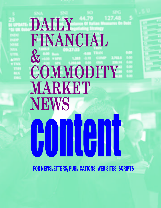# **DAILY FINANCIAL & COMMODITY MARKET NEWS**  $\mathbf{\mathcal{L}}$ I

 **FOR NEWSLETTERS, PUBLICATIONS, WEB SITES, SCRIPTS**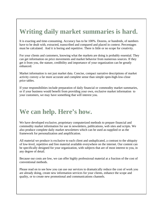# **Writing daily market summaries is hard.**

It is exacting and time-consuming. Accuracy has to be 100%. Dozens, or hundreds, of numbers have to be dealt with, extracted, transcribed and compared and placed in context. Percentages must be calculated. And it is boring and repetitive. There is little or no scope for creativity.

For your clients and customers, knowing what the markets are doing is probably essential. They can get information on price movements and market behavior from numerous sources. If they get it from you, the stature, credibility and importance of your organization can be greatly enhanced.

Market information is not just market data. Concise, compact narrative descriptions of market activity convey a far more accurate and complete sense than simple open-high-low-close price tables.

If your responsibilities include preparation of daily financial or commodity market summaries, or if your business would benefit from providing your own, exclusive market information to your customers, we may have something that will interest you.

# **We can help. Here's how.**

We have developed exclusive, proprietary computerized methods to prepare financial and commodity market information for use in newsletters, publications, web sites and scripts. We also produce complete daily market newsletters which can be used as-supplied or as the framework for personalization and amplification.

All material we produce is exclusive to each client and unduplicated, a contrast to the ubiquity of low-level, repetitive and free material available everywhere on the internet. Our content can be specifically designed for your organization, with subjects that are of most interest to you, in any degree of detail.

Because our costs are low, we can offer highly professional material at a fraction of the cost of conventional methods.

Please read on to see how you can use our services to dramatically reduce the cost of work you are already doing, create new information services for your clients, enhance the scope and quality, or to create new promotional and communications channels.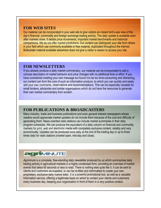### **FOR WEB SITES**

Our material can be incorporated in your web site to give visitors an instant bird's-eye view of the day's financial, commodity and foreign exchange trading activity. The daily update is available soon after markets close. It details price movements, important market benchmarks and historical comparisons. We do not offer market predictions. Our content can distinguish your site from others in your field which use commonly-available or free material, duplicated throughout the internet. Boilerplate material available elsewhere does not give a visitor a reason to access your site.

## **FOR NEWSLETTERS**

If you already produce a daily market commentary, our material can be incorporated to add a concise description of market behavior and price changes with no additional time or effort. If you have considered creating your own message but found it to be too time-consuming and distracting, our content can form the core of such an information produce, to which you can quickly and easily add your own comments, observations and recommendations. This can be especially valuable for small brokers, advisories and similar organizations which do not have the resources to generate their own market commentary from scratch.

## **FOR PUBLICATIONS & BROADCASTERS**

Many industry, trade and business publications and even general interest newspapers whose readers would appreciate market updates do not include them because of the cost and difficulty of generating them. News-oriented radio stations can include market summaries in their daily program schedules. We can produce the equivalent of a daily column on financial and commodity markets for print, web and electronic media with completely exclusive content, reliably and very economically. Updates can be produced once daily at the end of the trading day or up to three times daily for radio stations (market open, mid-day and close).

## **agri**MINUTE

*Agriminute* is a complete, free-standing daily newsletter produced by us which summarizes daily trading activity in agricultural markets in a highly condensed form, providing an overview of market events that takes 60 seconds or less to read. There is nothing else quite like it. It can be sent to clients and customers as-supplied, or can be re-titled and reformatted to create your own proprietary, exclusive daily market letter. It is a powerful promotional tool, as well as a valuable information service, offering a legitimate basis on which to contact your clients and customers every business day, keeping your organization in front of them in a very positive context.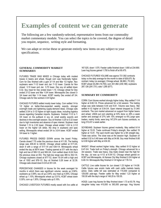# **Examples of content we can generate**

The following are a few randomly-selected, representative items from our commodity market commentary module. You can select the topics to be covered, the degree of detail you require, sequence, writing style and formatting.

We can adapt or revise these or generate entirely new items on any subject to your specifications.

#### **GENERAL COMMODITY MARKET SUMMARIES**

FUTURES TRADE WAS MIXED in Chicago today with modest losses in beans and wheat, though corn was fractionally higher. Corn for Dec finished with a gain of 1/4 and Mar 1/2 higher. Nov soybeans were 7-1/2 lower and Jan 7-1/2 lower. Canola for Nov closed 5.10 lower and Jan 5.70 lower. Dec soy oil settled down 0.32. Soy meal for Dec ended down 1.10. Chicago wheat for Dec ended 2-1/2 lower and Mar 1-3/4 lower. Minneapolis Dec closed 3- 3/4 lower and Mar 1-1/4 lower. KCBT nearby Dec ended off 3/4. Chicago oats for Dec worked 2-3/4 higher.

CHICAGO FUTURES settled mostly lower today. Corn settled 1/4 to 1/2 higher on better-than-expected weekly exports, stronger overnight trade and tightening supply-demand ideas. Chicago oats settled 2-3/4 to 3-1/2 higher on tight supply ideas, including logistics issues regarding Canadian imports. Soybeans finished 7-1/2 to 7- 3/4 lower on the pullback in soy oil, small weekly exports and declines in the overnight session. Soy oil finished 0.25 to 0.32 lower due to high inventories and absence of spec interest. Soybean meal finished 1.10 to 2.30 lower. Chicago wheat ended 1-3/4 to 2-1/2 lower on the higher US dollar, the drop in soybeans and spec selling. Minneapolis wheat ended 3/4 to 3-3/4 lower. KCBT ended 3/4 lower to 1 higher.

FUTURES PRICES ENDED DOWN across the board Friday. Canola closed 7.70 under the previous close at 411.00. The trading range was 409.40 to 420.90. Chicago wheat settled at 517-3/4, down 9 with a range of 517-1/4 and 539-1/4. Minneapolis wheat ended the day at 5674 lower. Trading opened at 571 with the day's high and low of 580-1/2 and 565-3/4. Corn settled down 6-3/4 from the previous close at 353. The high-low range was 365 to 352-1/4. Chicago soybeans closed at 977-1/2, down 15-3/4 with a high and low of 1002 and 976-1/2. Soy oil finished 0.28 lower at 32.39. Chicago oats closed down 8-3/4 at 351-3/4.

PERCENTAGE CHANGES in futures for the week averaged for months in which there was significant volume: canola up 0.56%; soybeans up 3.08%; soy oil up 2.04%; soy meal up 4.05%; Chicago wheat up 1.10%; Minneapolis wheat up 0.51%; KCBT wheat down 0.30%; corn up 1.30%; Chicago oats up 0.18%.

CHICAGO LIVESTOCK FUTURES mostly eased with live cattle at

167.525, down 1.575. Feeder cattle finished down 1.800 at 234.900. Lean hog futures gained 1.750 to finish off at 90.475.

CHICAGO FUTURES VOLUME was approx 721,582 contracts today vs the daily average for the month to date of 626,675. By contract, today (vs average): Chicago wheat 96,880 ( 75,322); KCBT wheat 34,294 (19,755); corn 301,992 (239,188); soybeans 287,126 (291,731); oats 1,290 (677).

#### **SUMMARY BY COMMODITY**

CORN: Corn futures worked strongly higher today. May settled 7-1/4 higher at 6.60-1/4. Prices advanced for a 3rd session. The trading range was wide between 6.44 and 6.61. Volume was heavy. Mar settled 4-1/2 higher at 5.54-3/4. Open interest dropped by 31,945 contracts. The corn market advanced on support from higher beans and wheat. USDA put corn planting at 53% done vs 28% a week earlier and average of 27% with 15% emerged vs 6%.Large spec traders, mainly funds, were long 147,074 corn futures contracts, vs long 210,431 a week earlier.

SOYBEANS: Soybean futures gained modestly. May settled 6-1/4 higher at 15.03. Trade continued Friday's strength. Nov settled 19 higher at 13.81. The spot month was higher for a 5th straight day. Trade was active. The close was at the session high. Soybean oil settled 0.52 to 0.48 lower with May at 54.66. Soy meal finished 9.80 to 6.90 higher with May at 434.30.

WHEAT: Wheat worked higher today. May settled 5-1/2 higher at 6.47-3/4. Trade built on Friday's strength. Chicago advanced for a 3rd session. Trade was heavy. Day trade closed near the high for the day. Jul was up 4-1/2 at 6.54-1/2. Chicago wheat gained on KCBT and Minneapolis. At Kansas City May finished 2-3/4 higher at 6.49-1/4. Minneapolis May finished 4-1/4 higher at 7.78-1/4.

CATTLE: Live cattle futures for Jun closed 1.23 higher at 114.08. Cattle futures saw erratic trade with cash cattle markets barely active. Daily cattle kill was estimated at 115,000 compared to 129,000 year-ago. Feeder cattle for May ended 1.23 higher at 150.00 with the day's range of 148.25 to 150.55.

HOGS: Lean hog futures for May finished down 1.73 at 83.78. Hog slaughter today was 410,000 vs 393,000 year-ago. Hog futures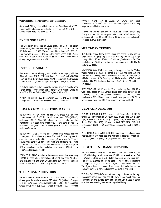trade was light as the May contract approaches expiry.

Spot-month Chicago live cattle futures ended 2.80 higher at 167.85. Feeder cattle futures advanced with the nearby up 2.45 at 240.90. Chicago hogs were 1.40 lower at 89.17.

#### **EXCHANGE RATES**

The US dollar index was at 78.86 today, up 0.10. The dollar weakened against the euro and yen. Over the last 5 sessions the US dollar index is off 0.57. The euro was 0.050 higher at \$1.280 US. The yen was at ............. The Canadian dollar closed at 89.04, up 0.44. The 30-day trading range is 88.44 to 90.61. Last week's closing range was 88.44 to 89.29.

#### **OUTSIDE MARKETS**

New York stocks were losing ground late in the trading day with the DJIA off 14 at 13213, S&P 500 down 5 at 1397 and NASDAQ down 22 at 3046. Crude oil closed at \$104.80, down 0.13. Precious metals were mainly lower with gold closing at \$1,665, 0.50 higher.

In outside markets today financials gained, precious metals were higher, energies were lower and currencies were higher. Crude oil fell 0.07 to \$81.99. Gold traded 7.30 higher at \$1,246.30.

In New York the S&P 500 index was at .............. The DJ industrial average was at 16389, up 9. NASDAQ was up 44 at 4303.

#### **USDA & CFTC REPORT SUMMARIES**

US EXPORT INSPECTIONS for the week ended Oct 20, 000 tonnes: wheat 481.8 (455.9 in the prior week); corn 717.6 (939.67); soybeans 1,991.5 (1,447.2). Cumulative shipments for the marketing year to date, mmt: wheat 10.52 (15.64), corn 5.69 (3.77), soybeans 5.94 (4.80). The US wheat year is Jun-May, corn and soybeans Sep-Aug.

US EXPORT SALES for the latest week were wheat 311,000 tonnes, corn 1.05 mmt and soybeans 2.20 mmt. For the crop year to date including yet to be shipped (year-ago) are wheat 14.69 mmt (19.18 mmt), corn 18.25 mmt (15.98 mmt) and soybeans 32.77 mmt (27.49 mmt). Cumulative sales and shipments as a percentage of USDA projections for the marketing year: wheat 58.35%, corn 41.06% and soybeans 70.83%.

COMMODITY FUNDS and other large non-commercials, were long 132,129 Chicago wheat contracts as of Oct 18 and short 184,102, long 445,281 corn and short 341,514, long 227,108 soybeans and short 234,196 and long 130,634 soy oil and short 83,252.

#### **TECHNICAL INDICATORS**

FIRST SUPPORT/RESISTANCE for nearby futures with today's closing price in brackets: canola 396.66/405.01 (404.00); Chicago corn 3.37/3.79 (3.56); Chicago wheat 5.00/ 5.50 (5.19); Minneapolis wheat 5.48/6.03 (5.69); KCBT wheat 5.80/6.38 (6.02); soybeans

9.44/9.78 (9.64); soy oil 29.98/33.04 (31.76); soy meal 316.48/348.10 (342.90). Technical indicators represent a trading range expected in the near term.

14-DAY RELATIVE STRENGTH INDEXES today: canola 66; Chicago wheat 53; Minneapolis wheat 65; KCBT wheat 64; soybeans 59; corn 36. An RSI below 30 is considered technically oversold, over 70 overbought.

#### **MULTI-DAY TRENDS**

SOYBEANS ended today at the upper end of the 30-day trading range of 9.10-1/4 (Sep 26) to 9.66-1/2 (Oct 16). The 30-day range for soy oil is 31.70 (Oct 20) to 33.45 with today's close at 31.76. The meal close at 342.90 was at the top of its range of 298.60 (Oct 1) and 342.90 (today).

MINNEAPOLIS WHEAT closed today at the upper end of the 30-day trading range at 5.68-3/4. The range is 5.31-3/4 (Oct 1) to 5.76-1/2 (Oct 16). The Chicago nearby close was at the top of the range at 5.22-1/4, between 4.74 (Sep 25) to 5.22-1/4 (today). KCBT wheat ended at 6.05-1/4, the top of its range of 5.57-1/2 (Oct 1) and 6.05- 1/4 (today).

SOY PRODUCT VALUE was \$12.71/bu today, up from \$12.63 a week ago. Based on the Central Illinois cash price for soy oil of 33.48c/lb, value of oil per bushel of soybeans was \$3.90. Cash soy meal was at \$373.10/short ton for meal value per bu of \$8.81. A week ago oil value was \$4.02 and soy meal value was \$8.61.

#### **GLOBAL INDICATORS**

GLOBAL EXPORT PRICES, International Grains Council, US \$/ tonne: US HRW wheat ex Gulf \$289 (289 a week ago, 336 a year ago); French wheat ex Rouen \$221 (218, 280); French barley ex Rouen \$207 (205, 256); US corn ex Gulf \$183 (184, 210); US soybeans ex Gulf \$414 (407, 522); Argentine soybeans \$430 (419, 529).

INTERNATIONAL GRAINS COUNCIL world grain and oilseed price indexes, latest with week ago and year ago in brackets: wheat 221 (221, 247); corn 187 (184, 216); soybeans 214 (209, 268).

#### **LOGISTICS & TRANSPORTATION**

GRAIN CARLOADINGS during the week ended Oct 18 were 10,731 vs 10,994 during the prior week and 10,417 for the week ended Oct 4. Weekly loadings were 7.6% below the same week a year ago. The weekly average for '14 to date is 9,670 cars. Cumulative loadings for the year to date are 406,140, 12.8% above year-ago. The figures from the Assn of American Railroads include an unknown number of cars loaded in the US by CNR and CPR.

THE BALTIC DRY INDEX was at 963 today, 11 lower for the day, unchanged from a week ago and 110 lower than a month ago. The 52-week high and low are 2277 and 723. The BDI is used to some extent as a rate-setting benchmark for grain shipping.